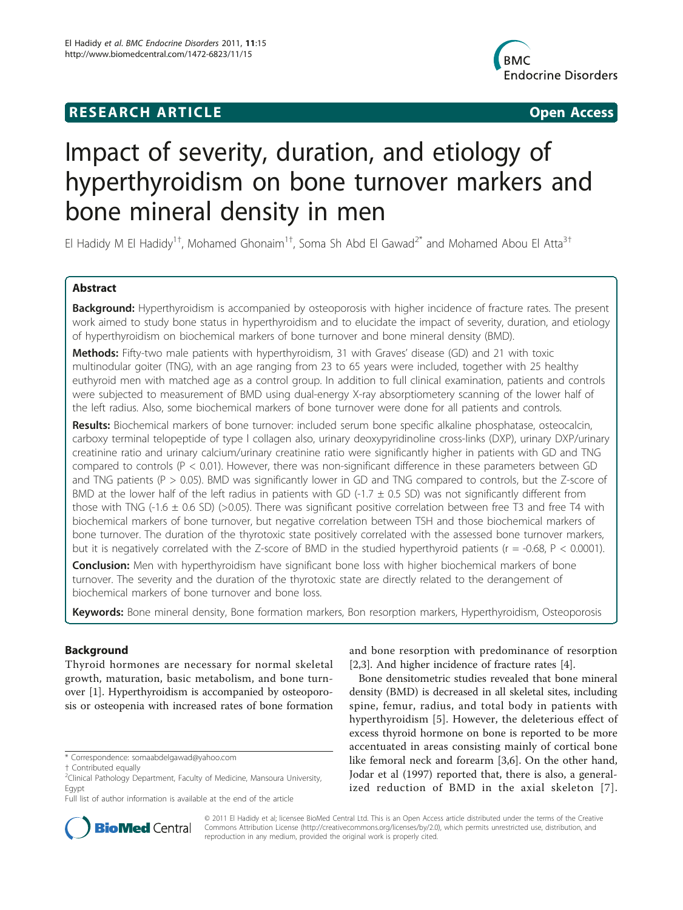# **RESEARCH ARTICLE Example 2018 CONSUMING ACCESS**



# Impact of severity, duration, and etiology of hyperthyroidism on bone turnover markers and bone mineral density in men

El Hadidy M El Hadidy<sup>1†</sup>, Mohamed Ghonaim<sup>1†</sup>, Soma Sh Abd El Gawad<sup>2\*</sup> and Mohamed Abou El Atta<sup>3†</sup>

# Abstract

Background: Hyperthyroidism is accompanied by osteoporosis with higher incidence of fracture rates. The present work aimed to study bone status in hyperthyroidism and to elucidate the impact of severity, duration, and etiology of hyperthyroidism on biochemical markers of bone turnover and bone mineral density (BMD).

Methods: Fifty-two male patients with hyperthyroidism, 31 with Graves' disease (GD) and 21 with toxic multinodular goiter (TNG), with an age ranging from 23 to 65 years were included, together with 25 healthy euthyroid men with matched age as a control group. In addition to full clinical examination, patients and controls were subjected to measurement of BMD using dual-energy X-ray absorptiometery scanning of the lower half of the left radius. Also, some biochemical markers of bone turnover were done for all patients and controls.

Results: Biochemical markers of bone turnover: included serum bone specific alkaline phosphatase, osteocalcin, carboxy terminal telopeptide of type l collagen also, urinary deoxypyridinoline cross-links (DXP), urinary DXP/urinary creatinine ratio and urinary calcium/urinary creatinine ratio were significantly higher in patients with GD and TNG compared to controls ( $P < 0.01$ ). However, there was non-significant difference in these parameters between GD and TNG patients (P > 0.05). BMD was significantly lower in GD and TNG compared to controls, but the Z-score of BMD at the lower half of the left radius in patients with GD (-1.7  $\pm$  0.5 SD) was not significantly different from those with TNG (-1.6  $\pm$  0.6 SD) (>0.05). There was significant positive correlation between free T3 and free T4 with biochemical markers of bone turnover, but negative correlation between TSH and those biochemical markers of bone turnover. The duration of the thyrotoxic state positively correlated with the assessed bone turnover markers, but it is negatively correlated with the Z-score of BMD in the studied hyperthyroid patients ( $r = -0.68$ ,  $P < 0.0001$ ).

**Conclusion:** Men with hyperthyroidism have significant bone loss with higher biochemical markers of bone turnover. The severity and the duration of the thyrotoxic state are directly related to the derangement of biochemical markers of bone turnover and bone loss.

Keywords: Bone mineral density, Bone formation markers, Bon resorption markers, Hyperthyroidism, Osteoporosis

# Background

Thyroid hormones are necessary for normal skeletal growth, maturation, basic metabolism, and bone turnover [[1\]](#page-5-0). Hyperthyroidism is accompanied by osteoporosis or osteopenia with increased rates of bone formation



Bone densitometric studies revealed that bone mineral density (BMD) is decreased in all skeletal sites, including spine, femur, radius, and total body in patients with hyperthyroidism [[5\]](#page-5-0). However, the deleterious effect of excess thyroid hormone on bone is reported to be more accentuated in areas consisting mainly of cortical bone like femoral neck and forearm [\[3,6](#page-5-0)]. On the other hand, Jodar et al (1997) reported that, there is also, a generalized reduction of BMD in the axial skeleton [[7\]](#page-5-0).



© 2011 El Hadidy et al; licensee BioMed Central Ltd. This is an Open Access article distributed under the terms of the Creative Commons Attribution License [\(http://creativecommons.org/licenses/by/2.0](http://creativecommons.org/licenses/by/2.0)), which permits unrestricted use, distribution, and reproduction in any medium, provided the original work is properly cited.

<sup>\*</sup> Correspondence: [somaabdelgawad@yahoo.com](mailto:somaabdelgawad@yahoo.com)

<sup>†</sup> Contributed equally <sup>2</sup>

<sup>&</sup>lt;sup>2</sup>Clinical Pathology Department, Faculty of Medicine, Mansoura University, Egypt

Full list of author information is available at the end of the article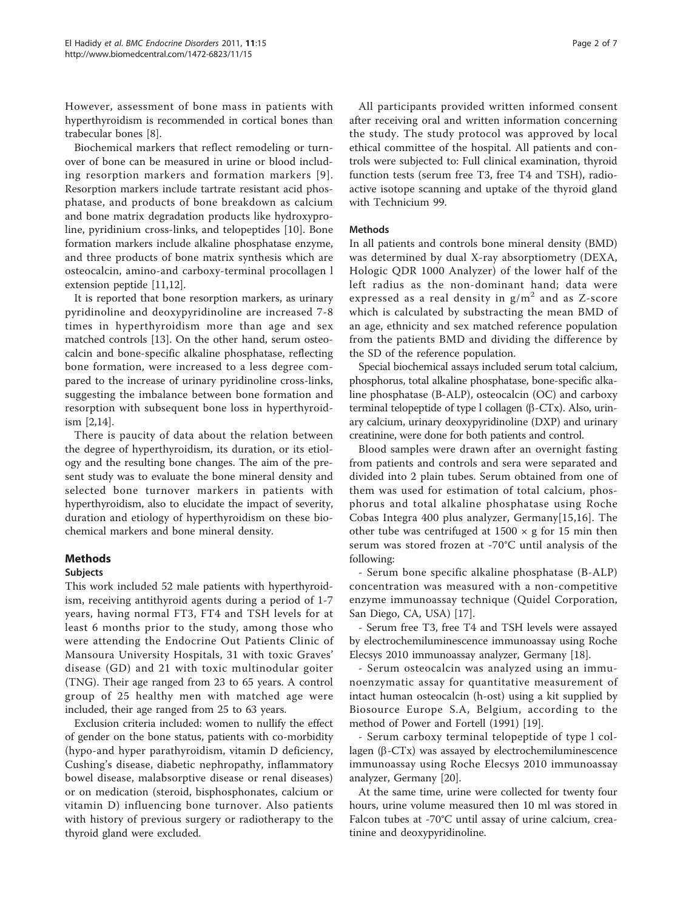However, assessment of bone mass in patients with hyperthyroidism is recommended in cortical bones than trabecular bones [[8\]](#page-5-0).

Biochemical markers that reflect remodeling or turnover of bone can be measured in urine or blood including resorption markers and formation markers [[9\]](#page-5-0). Resorption markers include tartrate resistant acid phosphatase, and products of bone breakdown as calcium and bone matrix degradation products like hydroxyproline, pyridinium cross-links, and telopeptides [[10\]](#page-5-0). Bone formation markers include alkaline phosphatase enzyme, and three products of bone matrix synthesis which are osteocalcin, amino-and carboxy-terminal procollagen l extension peptide [\[11,12\]](#page-5-0).

It is reported that bone resorption markers, as urinary pyridinoline and deoxypyridinoline are increased 7-8 times in hyperthyroidism more than age and sex matched controls [[13\]](#page-5-0). On the other hand, serum osteocalcin and bone-specific alkaline phosphatase, reflecting bone formation, were increased to a less degree compared to the increase of urinary pyridinoline cross-links, suggesting the imbalance between bone formation and resorption with subsequent bone loss in hyperthyroidism [[2](#page-5-0),[14](#page-6-0)].

There is paucity of data about the relation between the degree of hyperthyroidism, its duration, or its etiology and the resulting bone changes. The aim of the present study was to evaluate the bone mineral density and selected bone turnover markers in patients with hyperthyroidism, also to elucidate the impact of severity, duration and etiology of hyperthyroidism on these biochemical markers and bone mineral density.

# Methods

# Subjects

This work included 52 male patients with hyperthyroidism, receiving antithyroid agents during a period of 1-7 years, having normal FT3, FT4 and TSH levels for at least 6 months prior to the study, among those who were attending the Endocrine Out Patients Clinic of Mansoura University Hospitals, 31 with toxic Graves' disease (GD) and 21 with toxic multinodular goiter (TNG). Their age ranged from 23 to 65 years. A control group of 25 healthy men with matched age were included, their age ranged from 25 to 63 years.

Exclusion criteria included: women to nullify the effect of gender on the bone status, patients with co-morbidity (hypo-and hyper parathyroidism, vitamin D deficiency, Cushing's disease, diabetic nephropathy, inflammatory bowel disease, malabsorptive disease or renal diseases) or on medication (steroid, bisphosphonates, calcium or vitamin D) influencing bone turnover. Also patients with history of previous surgery or radiotherapy to the thyroid gland were excluded.

All participants provided written informed consent after receiving oral and written information concerning the study. The study protocol was approved by local ethical committee of the hospital. All patients and controls were subjected to: Full clinical examination, thyroid function tests (serum free T3, free T4 and TSH), radioactive isotope scanning and uptake of the thyroid gland with Technicium 99.

# Methods

In all patients and controls bone mineral density (BMD) was determined by dual X-ray absorptiometry (DEXA, Hologic QDR 1000 Analyzer) of the lower half of the left radius as the non-dominant hand; data were expressed as a real density in  $g/m^2$  and as Z-score which is calculated by substracting the mean BMD of an age, ethnicity and sex matched reference population from the patients BMD and dividing the difference by the SD of the reference population.

Special biochemical assays included serum total calcium, phosphorus, total alkaline phosphatase, bone-specific alkaline phosphatase (B-ALP), osteocalcin (OC) and carboxy terminal telopeptide of type l collagen  $(\beta$ -CTx). Also, urinary calcium, urinary deoxypyridinoline (DXP) and urinary creatinine, were done for both patients and control.

Blood samples were drawn after an overnight fasting from patients and controls and sera were separated and divided into 2 plain tubes. Serum obtained from one of them was used for estimation of total calcium, phosphorus and total alkaline phosphatase using Roche Cobas Integra 400 plus analyzer, Germany[\[15](#page-6-0),[16\]](#page-6-0). The other tube was centrifuged at  $1500 \times g$  for 15 min then serum was stored frozen at -70°C until analysis of the following:

- Serum bone specific alkaline phosphatase (B-ALP) concentration was measured with a non-competitive enzyme immunoassay technique (Quidel Corporation, San Diego, CA, USA) [\[17](#page-6-0)].

- Serum free T3, free T4 and TSH levels were assayed by electrochemiluminescence immunoassay using Roche Elecsys 2010 immunoassay analyzer, Germany [[18](#page-6-0)].

- Serum osteocalcin was analyzed using an immunoenzymatic assay for quantitative measurement of intact human osteocalcin (h-ost) using a kit supplied by Biosource Europe S.A, Belgium, according to the method of Power and Fortell (1991) [\[19\]](#page-6-0).

- Serum carboxy terminal telopeptide of type l collagen  $(\beta$ -CTx) was assayed by electrochemiluminescence immunoassay using Roche Elecsys 2010 immunoassay analyzer, Germany [\[20](#page-6-0)].

At the same time, urine were collected for twenty four hours, urine volume measured then 10 ml was stored in Falcon tubes at -70°C until assay of urine calcium, creatinine and deoxypyridinoline.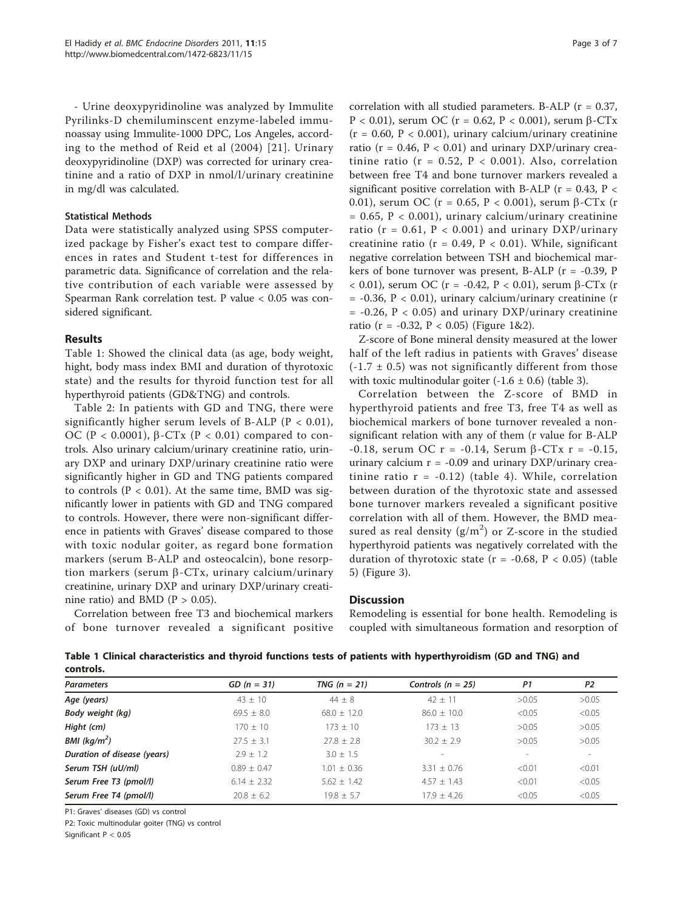- Urine deoxypyridinoline was analyzed by Immulite Pyrilinks-D chemiluminscent enzyme-labeled immunoassay using Immulite-1000 DPC, Los Angeles, according to the method of Reid et al (2004) [[21](#page-6-0)]. Urinary deoxypyridinoline (DXP) was corrected for urinary creatinine and a ratio of DXP in nmol/l/urinary creatinine in mg/dl was calculated.

### Statistical Methods

Data were statistically analyzed using SPSS computerized package by Fisher's exact test to compare differences in rates and Student t-test for differences in parametric data. Significance of correlation and the relative contribution of each variable were assessed by Spearman Rank correlation test. P value < 0.05 was considered significant.

# Results

Table 1: Showed the clinical data (as age, body weight, hight, body mass index BMI and duration of thyrotoxic state) and the results for thyroid function test for all hyperthyroid patients (GD&TNG) and controls.

Table [2:](#page-3-0) In patients with GD and TNG, there were significantly higher serum levels of B-ALP ( $P < 0.01$ ), OC (P < 0.0001),  $\beta$ -CTx (P < 0.01) compared to controls. Also urinary calcium/urinary creatinine ratio, urinary DXP and urinary DXP/urinary creatinine ratio were significantly higher in GD and TNG patients compared to controls ( $P < 0.01$ ). At the same time, BMD was significantly lower in patients with GD and TNG compared to controls. However, there were non-significant difference in patients with Graves' disease compared to those with toxic nodular goiter, as regard bone formation markers (serum B-ALP and osteocalcin), bone resorption markers (serum  $\beta$ -CTx, urinary calcium/urinary creatinine, urinary DXP and urinary DXP/urinary creatinine ratio) and BMD ( $P > 0.05$ ).

Correlation between free T3 and biochemical markers of bone turnover revealed a significant positive

correlation with all studied parameters. B-ALP ( $r = 0.37$ , P < 0.01), serum OC (r = 0.62, P < 0.001), serum β-CTx  $(r = 0.60, P < 0.001)$ , urinary calcium/urinary creatinine ratio ( $r = 0.46$ ,  $P < 0.01$ ) and urinary DXP/urinary creatinine ratio (r = 0.52,  $P < 0.001$ ). Also, correlation between free T4 and bone turnover markers revealed a significant positive correlation with B-ALP ( $r = 0.43$ ,  $P <$ 0.01), serum OC (r = 0.65, P < 0.001), serum  $\beta$ -CTx (r  $= 0.65$ ,  $P < 0.001$ ), urinary calcium/urinary creatinine ratio ( $r = 0.61$ ,  $P < 0.001$ ) and urinary DXP/urinary creatinine ratio ( $r = 0.49$ ,  $P < 0.01$ ). While, significant negative correlation between TSH and biochemical markers of bone turnover was present, B-ALP (r = -0.39, P < 0.01), serum OC (r = -0.42, P < 0.01), serum β-CTx (r  $= -0.36$ ,  $P < 0.01$ ), urinary calcium/urinary creatinine (r  $= -0.26$ ,  $P < 0.05$ ) and urinary DXP/urinary creatinine ratio (r = -0.32, P < 0.05) (Figure [1&](#page-3-0)[2\)](#page-4-0).

Z-score of Bone mineral density measured at the lower half of the left radius in patients with Graves' disease  $(-1.7 \pm 0.5)$  was not significantly different from those with toxic multinodular goiter  $(-1.6 \pm 0.6)$  (table [3\)](#page-4-0).

Correlation between the Z-score of BMD in hyperthyroid patients and free T3, free T4 as well as biochemical markers of bone turnover revealed a nonsignificant relation with any of them (r value for B-ALP  $-0.18$ , serum OC r =  $-0.14$ , Serum  $\beta$ -CTx r =  $-0.15$ , urinary calcium  $r = -0.09$  and urinary DXP/urinary creatinine ratio  $r = -0.12$ ) (table [4](#page-4-0)). While, correlation between duration of the thyrotoxic state and assessed bone turnover markers revealed a significant positive correlation with all of them. However, the BMD measured as real density  $(g/m^2)$  or Z-score in the studied hyperthyroid patients was negatively correlated with the duration of thyrotoxic state ( $r = -0.68$ ,  $P < 0.05$ ) (table [5\)](#page-4-0) (Figure [3\)](#page-5-0).

# **Discussion**

Remodeling is essential for bone health. Remodeling is coupled with simultaneous formation and resorption of

Table 1 Clinical characteristics and thyroid functions tests of patients with hyperthyroidism (GD and TNG) and controls.

| <b>Parameters</b>           | $GD (n = 31)$   | TNG $(n = 21)$  | Controls ( $n = 25$ ) | P1                       | P <sub>2</sub> |
|-----------------------------|-----------------|-----------------|-----------------------|--------------------------|----------------|
| Age (years)                 | $43 \pm 10$     | $44 \pm 8$      | $42 + 11$             | >0.05                    | >0.05          |
| Body weight (kg)            | $69.5 + 8.0$    | $68.0 + 12.0$   | $86.0 + 10.0$         | < 0.05                   | < 0.05         |
| Hight (cm)                  | $170 + 10$      | $173 + 10$      | $173 + 13$            | >0.05                    | >0.05          |
| BMI ( $kg/m2$ )             | $27.5 \pm 3.1$  | $27.8 \pm 2.8$  | $30.2 + 2.9$          | >0.05                    | >0.05          |
| Duration of disease (years) | $2.9 + 1.2$     | $3.0 + 1.5$     | $\sim$                | $\overline{\phantom{a}}$ |                |
| Serum TSH (uU/ml)           | $0.89 \pm 0.47$ | $1.01 \pm 0.36$ | $3.31 \pm 0.76$       | < 0.01                   | < 0.01         |
| Serum Free T3 (pmol/l)      | $6.14 \pm 2.32$ | $5.62 \pm 1.42$ | $4.57 \pm 1.43$       | < 0.01                   | < 0.05         |
| Serum Free T4 (pmol/l)      | $20.8 + 6.2$    | $19.8 + 5.7$    | $17.9 + 4.26$         | < 0.05                   | < 0.05         |

P1: Graves' diseases (GD) vs control

P2: Toxic multinodular goiter (TNG) vs control

Significant P < 0.05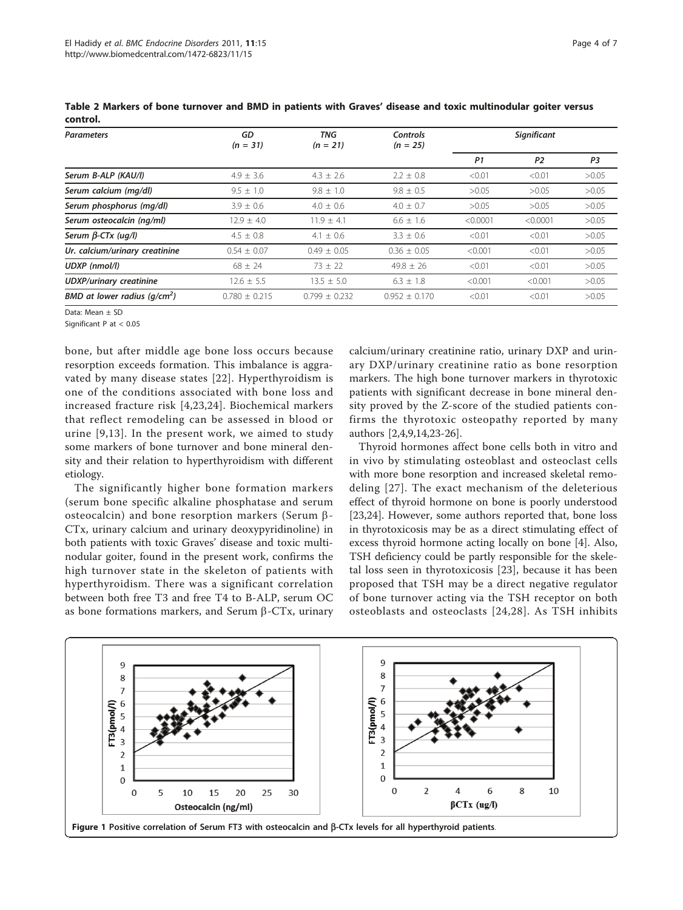| <b>Parameters</b>               | GD<br>$(n = 31)$  | TNG<br>$(n = 21)$ | Controls<br>$(n = 25)$ | Significant    |                |       |
|---------------------------------|-------------------|-------------------|------------------------|----------------|----------------|-------|
|                                 |                   |                   |                        | P <sub>1</sub> | P <sub>2</sub> | P3    |
| Serum B-ALP (KAU/I)             | $4.9 + 3.6$       | $4.3 \pm 2.6$     | $2.2 \pm 0.8$          | < 0.01         | < 0.01         | >0.05 |
| Serum calcium (mg/dl)           | $9.5 \pm 1.0$     | $9.8 \pm 1.0$     | $9.8 \pm 0.5$          | >0.05          | >0.05          | >0.05 |
| Serum phosphorus (mq/dl)        | $3.9 \pm 0.6$     | $4.0 \pm 0.6$     | $4.0 \pm 0.7$          | >0.05          | >0.05          | >0.05 |
| Serum osteocalcin (ng/ml)       | $12.9 \pm 4.0$    | $11.9 \pm 4.1$    | $6.6 \pm 1.6$          | < 0.0001       | < 0.0001       | >0.05 |
| Serum $\beta$ -CTx (ug/l)       | $4.5 \pm 0.8$     | $4.1 \pm 0.6$     | $3.3 \pm 0.6$          | < 0.01         | < 0.01         | >0.05 |
| Ur. calcium/urinary creatinine  | $0.54 + 0.07$     | $0.49 + 0.05$     | $0.36 + 0.05$          | < 0.001        | < 0.01         | >0.05 |
| UDXP (nmol/l)                   | $68 + 24$         | $73 \pm 22$       | $49.8 + 26$            | < 0.01         | < 0.01         | >0.05 |
| <b>UDXP/urinary creatinine</b>  | $12.6 \pm 5.5$    | $13.5 \pm 5.0$    | $6.3 \pm 1.8$          | < 0.001        | < 0.001        | >0.05 |
| BMD at lower radius ( $q/cm2$ ) | $0.780 \pm 0.215$ | $0.799 \pm 0.232$ | $0.952 \pm 0.170$      | < 0.01         | < 0.01         | >0.05 |

<span id="page-3-0"></span>Table 2 Markers of bone turnover and BMD in patients with Graves' disease and toxic multinodular goiter versus control.

Data: Mean ± SD

Significant P at < 0.05

bone, but after middle age bone loss occurs because resorption exceeds formation. This imbalance is aggravated by many disease states [[22](#page-6-0)]. Hyperthyroidism is one of the conditions associated with bone loss and increased fracture risk [[4,](#page-5-0)[23](#page-6-0),[24](#page-6-0)]. Biochemical markers that reflect remodeling can be assessed in blood or urine [[9](#page-5-0),[13](#page-5-0)]. In the present work, we aimed to study some markers of bone turnover and bone mineral density and their relation to hyperthyroidism with different etiology.

The significantly higher bone formation markers (serum bone specific alkaline phosphatase and serum osteocalcin) and bone resorption markers (Serum  $\beta$ -CTx, urinary calcium and urinary deoxypyridinoline) in both patients with toxic Graves' disease and toxic multinodular goiter, found in the present work, confirms the high turnover state in the skeleton of patients with hyperthyroidism. There was a significant correlation between both free T3 and free T4 to B-ALP, serum OC as bone formations markers, and Serum  $\beta$ -CTx, urinary calcium/urinary creatinine ratio, urinary DXP and urinary DXP/urinary creatinine ratio as bone resorption markers. The high bone turnover markers in thyrotoxic patients with significant decrease in bone mineral density proved by the Z-score of the studied patients confirms the thyrotoxic osteopathy reported by many authors [[2,4,9,](#page-5-0)[14,23](#page-6-0)-[26\]](#page-6-0).

Thyroid hormones affect bone cells both in vitro and in vivo by stimulating osteoblast and osteoclast cells with more bone resorption and increased skeletal remodeling [[27\]](#page-6-0). The exact mechanism of the deleterious effect of thyroid hormone on bone is poorly understood [[23,24\]](#page-6-0). However, some authors reported that, bone loss in thyrotoxicosis may be as a direct stimulating effect of excess thyroid hormone acting locally on bone [[4](#page-5-0)]. Also, TSH deficiency could be partly responsible for the skeletal loss seen in thyrotoxicosis [[23](#page-6-0)], because it has been proposed that TSH may be a direct negative regulator of bone turnover acting via the TSH receptor on both osteoblasts and osteoclasts [[24](#page-6-0),[28](#page-6-0)]. As TSH inhibits

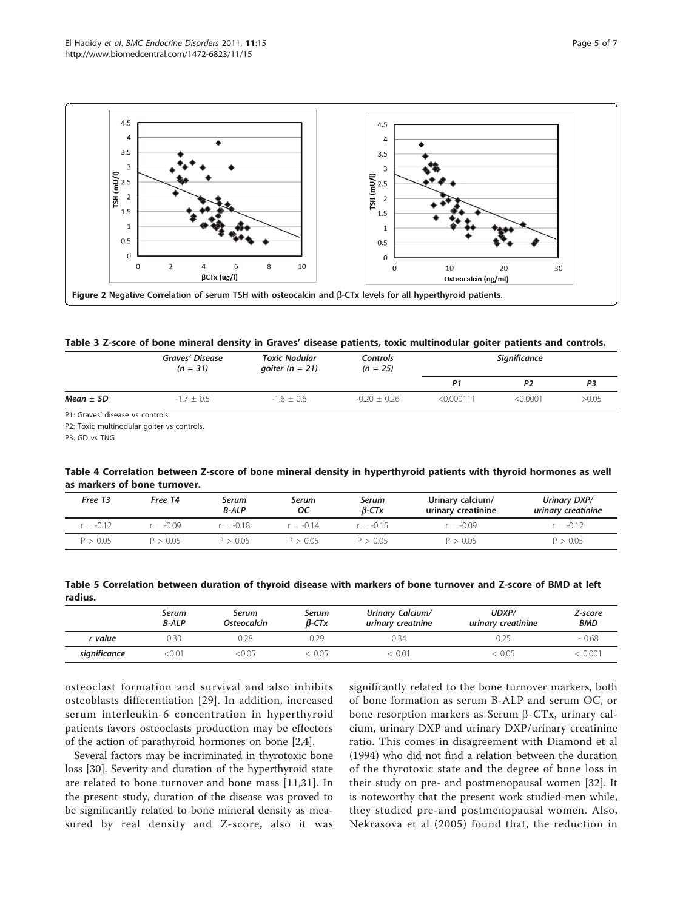<span id="page-4-0"></span>

Table 3 Z-score of bone mineral density in Graves' disease patients, toxic multinodular goiter patients and controls.

|                                                                                                                                              | Graves' Disease<br>$(n = 31)$ | <b>Toxic Nodular</b><br>goiter ( $n = 21$ ) | Controls<br>$(n = 25)$ | Significance |          |       |
|----------------------------------------------------------------------------------------------------------------------------------------------|-------------------------------|---------------------------------------------|------------------------|--------------|----------|-------|
|                                                                                                                                              |                               |                                             |                        | P1           | P2       | P3    |
| $Mean \pm SD$                                                                                                                                | $-1.7 + 0.5$                  | $-1.6 + 0.6$                                | $-0.20 \pm 0.26$       | < 0.000111   | < 0.0001 | >0.05 |
| $\mathbb{R}^d$ and $\mathbb{R}^d$ are the set of $\mathbb{R}^d$ . The set of $\mathbb{R}^d$ and $\mathbb{R}^d$ are the set of $\mathbb{R}^d$ |                               |                                             |                        |              |          |       |

P1: Graves' disease vs controls

P2: Toxic multinodular goiter vs controls.

P3: GD vs TNG

Table 4 Correlation between Z-score of bone mineral density in hyperthyroid patients with thyroid hormones as well as markers of bone turnover.

| Free T <sub>3</sub> | Free T4     | Serum<br><b>B-ALP</b> | Serum<br>ос | Serum<br>$B$ -CTx | Urinary calcium/<br>urinary creatinine | Urinary DXP/<br>urinary creatinine |
|---------------------|-------------|-----------------------|-------------|-------------------|----------------------------------------|------------------------------------|
| $r = -0.12$         | $r = -0.09$ | $= -0.18$             | $r = -0.14$ | $= -0.15$         | $= -0.09$                              | $= -0.12$                          |
| P > 0.05            | P > 0.05    | P > 0.05              | P > 0.05    | P > 0.05          | P > 0.05                               | P > 0.05                           |

Table 5 Correlation between duration of thyroid disease with markers of bone turnover and Z-score of BMD at left radius.

|              | Serum<br><b>B-ALP</b> | Serum<br>Osteocalcin | Serum<br>$\beta$ -CTx | Urinary Calcium/<br>urinary creatnine | UDXP/<br>urinary creatinine | Z-score<br><b>BMD</b> |
|--------------|-----------------------|----------------------|-----------------------|---------------------------------------|-----------------------------|-----------------------|
| r value      | 0.33                  | 0.28                 | 0.29                  | 0.34                                  |                             | $-0.68$               |
| significance | 0.01:                 | $\leq 0.05$          | 0.05                  | 0.01                                  | $\leq 0.05$                 | 0.001                 |

osteoclast formation and survival and also inhibits osteoblasts differentiation [[29](#page-6-0)]. In addition, increased serum interleukin-6 concentration in hyperthyroid patients favors osteoclasts production may be effectors of the action of parathyroid hormones on bone [\[2](#page-5-0),[4](#page-5-0)].

Several factors may be incriminated in thyrotoxic bone loss [\[30](#page-6-0)]. Severity and duration of the hyperthyroid state are related to bone turnover and bone mass [\[11](#page-5-0),[31\]](#page-6-0). In the present study, duration of the disease was proved to be significantly related to bone mineral density as measured by real density and Z-score, also it was

significantly related to the bone turnover markers, both of bone formation as serum B-ALP and serum OC, or bone resorption markers as Serum  $\beta$ -CTx, urinary calcium, urinary DXP and urinary DXP/urinary creatinine ratio. This comes in disagreement with Diamond et al (1994) who did not find a relation between the duration of the thyrotoxic state and the degree of bone loss in their study on pre- and postmenopausal women [\[32](#page-6-0)]. It is noteworthy that the present work studied men while, they studied pre-and postmenopausal women. Also, Nekrasova et al (2005) found that, the reduction in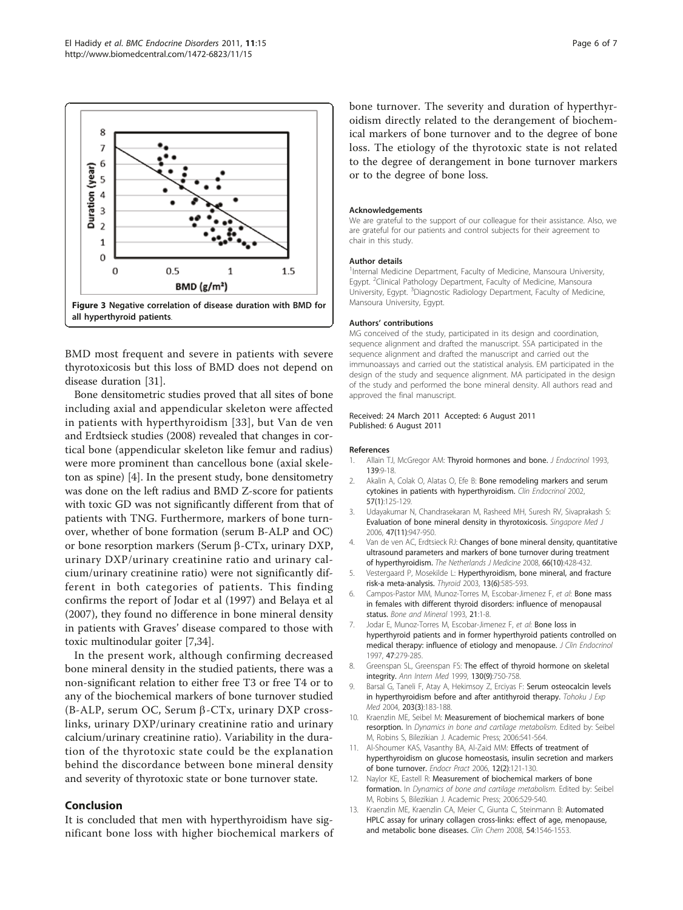<span id="page-5-0"></span>

BMD most frequent and severe in patients with severe thyrotoxicosis but this loss of BMD does not depend on disease duration [\[31](#page-6-0)].

Bone densitometric studies proved that all sites of bone including axial and appendicular skeleton were affected in patients with hyperthyroidism [\[33\]](#page-6-0), but Van de ven and Erdtsieck studies (2008) revealed that changes in cortical bone (appendicular skeleton like femur and radius) were more prominent than cancellous bone (axial skeleton as spine) [4]. In the present study, bone densitometry was done on the left radius and BMD Z-score for patients with toxic GD was not significantly different from that of patients with TNG. Furthermore, markers of bone turnover, whether of bone formation (serum B-ALP and OC) or bone resorption markers (Serum  $\beta$ -CTx, urinary DXP, urinary DXP/urinary creatinine ratio and urinary calcium/urinary creatinine ratio) were not significantly different in both categories of patients. This finding confirms the report of Jodar et al (1997) and Belaya et al (2007), they found no difference in bone mineral density in patients with Graves' disease compared to those with toxic multinodular goiter [7,[34](#page-6-0)].

In the present work, although confirming decreased bone mineral density in the studied patients, there was a non-significant relation to either free T3 or free T4 or to any of the biochemical markers of bone turnover studied (B-ALP, serum OC, Serum  $\beta$ -CTx, urinary DXP crosslinks, urinary DXP/urinary creatinine ratio and urinary calcium/urinary creatinine ratio). Variability in the duration of the thyrotoxic state could be the explanation behind the discordance between bone mineral density and severity of thyrotoxic state or bone turnover state.

#### Conclusion

It is concluded that men with hyperthyroidism have significant bone loss with higher biochemical markers of bone turnover. The severity and duration of hyperthyroidism directly related to the derangement of biochemical markers of bone turnover and to the degree of bone loss. The etiology of the thyrotoxic state is not related to the degree of derangement in bone turnover markers or to the degree of bone loss.

#### Acknowledgements

We are grateful to the support of our colleague for their assistance. Also, we are grateful for our patients and control subjects for their agreement to chair in this study.

#### Author details

<sup>1</sup>Internal Medicine Department, Faculty of Medicine, Mansoura University, Egypt. <sup>2</sup>Clinical Pathology Department, Faculty of Medicine, Mansoura University, Egypt. <sup>3</sup>Diagnostic Radiology Department, Faculty of Medicine Mansoura University, Egypt.

#### Authors' contributions

MG conceived of the study, participated in its design and coordination, sequence alignment and drafted the manuscript. SSA participated in the sequence alignment and drafted the manuscript and carried out the immunoassays and carried out the statistical analysis. EM participated in the design of the study and sequence alignment. MA participated in the design of the study and performed the bone mineral density. All authors read and approved the final manuscript.

#### Received: 24 March 2011 Accepted: 6 August 2011 Published: 6 August 2011

#### References

- 1. Allain TJ, McGregor AM: [Thyroid hormones and bone.](http://www.ncbi.nlm.nih.gov/pubmed/8254298?dopt=Abstract) J Endocrinol 1993, 139:9-18.
- 2. Akalin A, Colak O, Alatas O, Efe B: Bone remodeling markers and serum cytokines in patients with hyperthyroidism. Clin Endocrinol 2002, 57(1):125-129.
- 3. Udayakumar N, Chandrasekaran M, Rasheed MH, Suresh RV, Sivaprakash S: [Evaluation of bone mineral density in thyrotoxicosis.](http://www.ncbi.nlm.nih.gov/pubmed/17075661?dopt=Abstract) Singapore Med J 2006, 47(11):947-950.
- 4. Van de ven AC, Erdtsieck RJ: Changes of bone mineral density, quantitative ultrasound parameters and markers of bone turnover during treatment of hyperthyroidism. The Netherlands J Medicine 2008, 66(10):428-432.
- 5. Vestergaard P, Mosekilde L: [Hyperthyroidism, bone mineral, and fracture](http://www.ncbi.nlm.nih.gov/pubmed/12930603?dopt=Abstract) [risk-a meta-analysis.](http://www.ncbi.nlm.nih.gov/pubmed/12930603?dopt=Abstract) Thyroid 2003, 13(6):585-593.
- 6. Campos-Pastor MM, Munoz-Torres M, Escobar-Jimenez F, et al: [Bone mass](http://www.ncbi.nlm.nih.gov/pubmed/8324416?dopt=Abstract) [in females with different thyroid disorders: influence of menopausal](http://www.ncbi.nlm.nih.gov/pubmed/8324416?dopt=Abstract) [status.](http://www.ncbi.nlm.nih.gov/pubmed/8324416?dopt=Abstract) Bone and Mineral 1993, 21:1-8.
- 7. Jodar E, Munoz-Torres M, Escobar-Jimenez F, et al: Bone loss in hyperthyroid patients and in former hyperthyroid patients controlled on medical therapy: influence of etiology and menopause. J Clin Endocrinol 1997, 47:279-285.
- 8. Greenspan SL, Greenspan FS: [The effect of thyroid hormone on skeletal](http://www.ncbi.nlm.nih.gov/pubmed/10357695?dopt=Abstract) [integrity.](http://www.ncbi.nlm.nih.gov/pubmed/10357695?dopt=Abstract) Ann Intern Med 1999, 130(9):750-758.
- 9. Barsal G, Taneli F, Atay A, Hekimsoy Z, Erciyas F: [Serum osteocalcin levels](http://www.ncbi.nlm.nih.gov/pubmed/15240927?dopt=Abstract) [in hyperthyroidism before and after antithyroid therapy.](http://www.ncbi.nlm.nih.gov/pubmed/15240927?dopt=Abstract) Tohoku J Exp Med 2004, 203(3):183-188.
- 10. Kraenzlin ME, Seibel M: Measurement of biochemical markers of bone resorption. In Dynamics in bone and cartilage metabolism. Edited by: Seibel M, Robins S, Bilezikian J. Academic Press; 2006:541-564.
- 11. Al-Shoumer KAS, Vasanthy BA, Al-Zaid MM: [Effects of treatment of](http://www.ncbi.nlm.nih.gov/pubmed/16690458?dopt=Abstract) [hyperthyroidism on glucose homeostasis, insulin secretion and markers](http://www.ncbi.nlm.nih.gov/pubmed/16690458?dopt=Abstract) [of bone turnover.](http://www.ncbi.nlm.nih.gov/pubmed/16690458?dopt=Abstract) Endocr Pract 2006, 12(2):121-130.
- 12. Naylor KE, Eastell R: Measurement of biochemical markers of bone formation. In Dynamics of bone and cartilage metabolism. Edited by: Seibel M, Robins S, Bilezikian J. Academic Press; 2006:529-540.
- 13. Kraenzlin ME, Kraenzlin CA, Meier C, Giunta C, Steinmann B: [Automated](http://www.ncbi.nlm.nih.gov/pubmed/18653826?dopt=Abstract) [HPLC assay for urinary collagen cross-links: effect of age, menopause,](http://www.ncbi.nlm.nih.gov/pubmed/18653826?dopt=Abstract) [and metabolic bone diseases.](http://www.ncbi.nlm.nih.gov/pubmed/18653826?dopt=Abstract) Clin Chem 2008, 54:1546-1553.